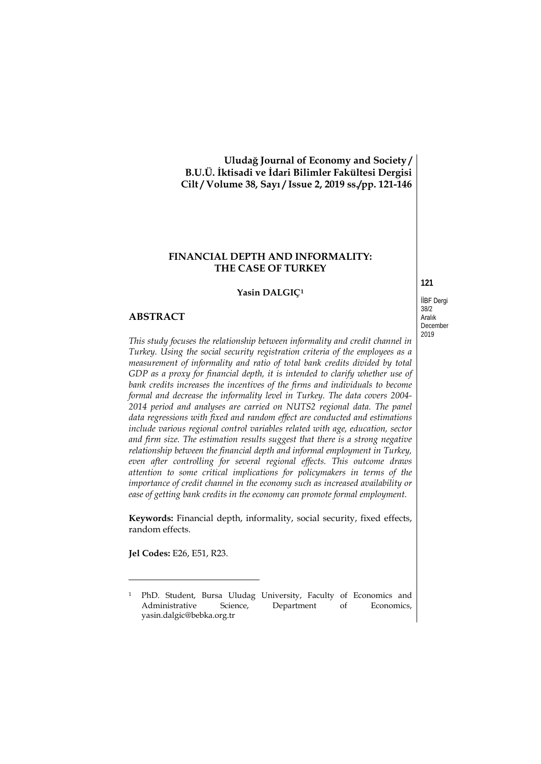**Uludağ Journal of Economy and Society / B.U.Ü. İktisadi ve İdari Bilimler Fakültesi Dergisi Cilt / Volume 38, Sayı / Issue 2, 2019 ss./pp. 121-146**

# **FINANCIAL DEPTH AND INFORMALITY: THE CASE OF TURKEY**

#### **Yasin DALGIÇ[1](#page-0-0)**

#### **ABSTRACT**

*This study focuses the relationship between informality and credit channel in Turkey. Using the social security registration criteria of the employees as a measurement of informality and ratio of total bank credits divided by total GDP as a proxy for financial depth, it is intended to clarify whether use of bank credits increases the incentives of the firms and individuals to become formal and decrease the informality level in Turkey. The data covers 2004- 2014 period and analyses are carried on NUTS2 regional data. The panel data regressions with fixed and random effect are conducted and estimations include various regional control variables related with age, education, sector and firm size. The estimation results suggest that there is a strong negative relationship between the financial depth and informal employment in Turkey, even after controlling for several regional effects. This outcome draws attention to some critical implications for policymakers in terms of the importance of credit channel in the economy such as increased availability or ease of getting bank credits in the economy can promote formal employment.*

**Keywords:** Financial depth, informality, social security, fixed effects, random effects.

**Jel Codes:** E26, E51, R23.

-

İİBF Dergi

**121**

38/2 Aralık December 2019

<span id="page-0-1"></span><span id="page-0-0"></span><sup>1</sup> PhD. Student, Bursa Uludag University, Faculty of Economics and Administrative Science, Department of Economics, [yasin.dalgic@bebka.org.tr](mailto:yasin.dalgic@bebka.org.tr)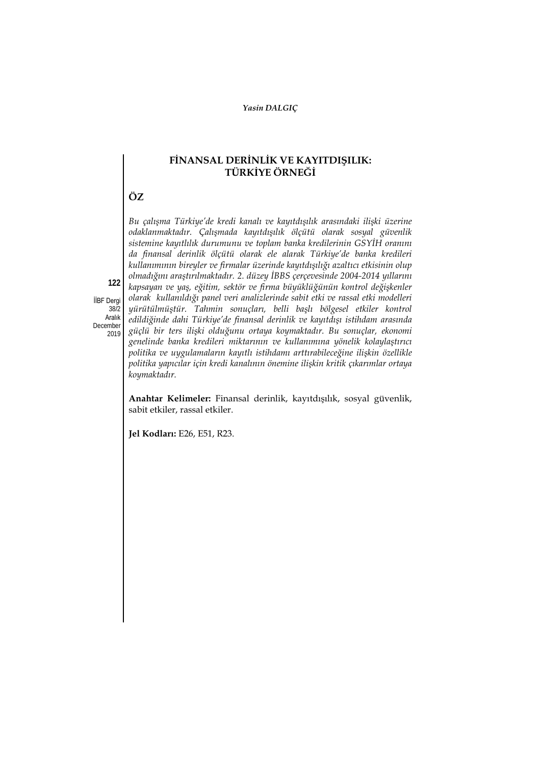# **FİNANSAL DERİNLİK VE KAYITDIŞILIK: TÜRKİYE ÖRNEĞİ**

# **ÖZ**

*Bu çalışma Türkiye'de kredi kanalı ve kayıtdışılık arasındaki ilişki üzerine odaklanmaktadır. Çalışmada kayıtdışılık ölçütü olarak sosyal güvenlik sistemine kayıtlılık durumunu ve toplam banka kredilerinin GSYİH oranını da finansal derinlik ölçütü olarak ele alarak Türkiye'de banka kredileri kullanımının bireyler ve firmalar üzerinde kayıtdışılığı azaltıcı etkisinin olup olmadığını araştırılmaktadır. 2. düzey İBBS çerçevesinde 2004-2014 yıllarını kapsayan ve yaş, eğitim, sektör ve firma büyüklüğünün kontrol değişkenler olarak kullanıldığı panel veri analizlerinde sabit etki ve rassal etki modelleri yürütülmüştür. Tahmin sonuçları, belli başlı bölgesel etkiler kontrol edildiğinde dahi Türkiye'de finansal derinlik ve kayıtdışı istihdam arasında güçlü bir ters ilişki olduğunu ortaya koymaktadır. Bu sonuçlar, ekonomi genelinde banka kredileri miktarının ve kullanımına yönelik kolaylaştırıcı politika ve uygulamaların kayıtlı istihdamı arttırabileceğine ilişkin özellikle politika yapıcılar için kredi kanalının önemine ilişkin kritik çıkarımlar ortaya koymaktadır.*

İİBF Dergi 38/2 Aralık December 2019

**122**

**Anahtar Kelimeler:** Finansal derinlik, kayıtdışılık, sosyal güvenlik, sabit etkiler, rassal etkiler.

**Jel Kodları:** E26, E51, R23.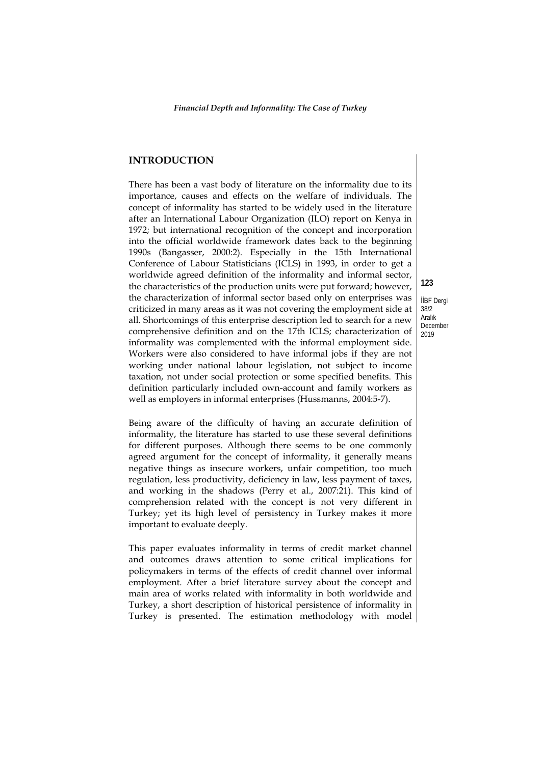# **INTRODUCTION**

There has been a vast body of literature on the informality due to its importance, causes and effects on the welfare of individuals. The concept of informality has started to be widely used in the literature after an International Labour Organization (ILO) report on Kenya in 1972; but international recognition of the concept and incorporation into the official worldwide framework dates back to the beginning 1990s (Bangasser, 2000:2). Especially in the 15th International Conference of Labour Statisticians (ICLS) in 1993, in order to get a worldwide agreed definition of the informality and informal sector, the characteristics of the production units were put forward; however, the characterization of informal sector based only on enterprises was criticized in many areas as it was not covering the employment side at all. Shortcomings of this enterprise description led to search for a new comprehensive definition and on the 17th ICLS; characterization of informality was complemented with the informal employment side. Workers were also considered to have informal jobs if they are not working under national labour legislation, not subject to income taxation, not under social protection or some specified benefits. This definition particularly included own-account and family workers as well as employers in informal enterprises (Hussmanns, 2004:5-7).

Being aware of the difficulty of having an accurate definition of informality, the literature has started to use these several definitions for different purposes. Although there seems to be one commonly agreed argument for the concept of informality, it generally means negative things as insecure workers, unfair competition, too much regulation, less productivity, deficiency in law, less payment of taxes, and working in the shadows (Perry et al., 2007:21). This kind of comprehension related with the concept is not very different in Turkey; yet its high level of persistency in Turkey makes it more important to evaluate deeply.

This paper evaluates informality in terms of credit market channel and outcomes draws attention to some critical implications for policymakers in terms of the effects of credit channel over informal employment. After a brief literature survey about the concept and main area of works related with informality in both worldwide and Turkey, a short description of historical persistence of informality in Turkey is presented. The estimation methodology with model

İİBF Dergi 38/2 Aralık December 2019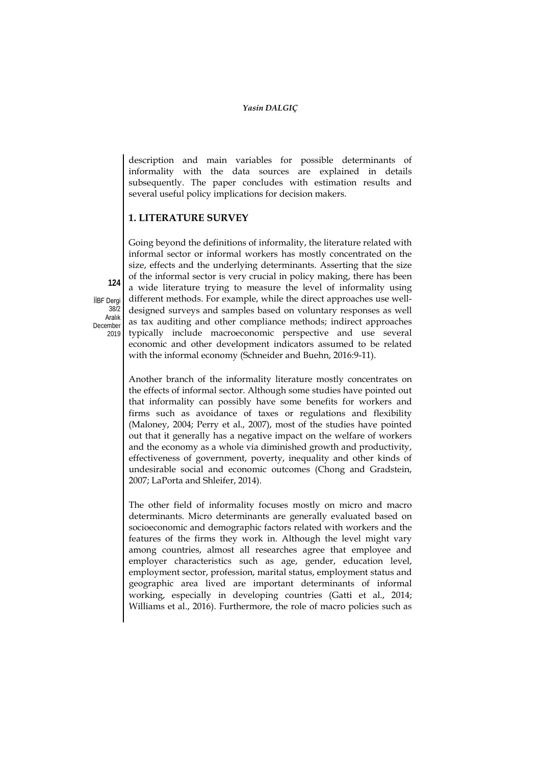description and main variables for possible determinants of informality with the data sources are explained in details subsequently. The paper concludes with estimation results and several useful policy implications for decision makers.

# **1. LITERATURE SURVEY**

Going beyond the definitions of informality, the literature related with informal sector or informal workers has mostly concentrated on the size, effects and the underlying determinants. Asserting that the size of the informal sector is very crucial in policy making, there has been a wide literature trying to measure the level of informality using different methods. For example, while the direct approaches use welldesigned surveys and samples based on voluntary responses as well as tax auditing and other compliance methods; indirect approaches typically include macroeconomic perspective and use several economic and other development indicators assumed to be related with the informal economy (Schneider and Buehn, 2016:9-11).

Another branch of the informality literature mostly concentrates on the effects of informal sector. Although some studies have pointed out that informality can possibly have some benefits for workers and firms such as avoidance of taxes or regulations and flexibility (Maloney, 2004; Perry et al., 2007), most of the studies have pointed out that it generally has a negative impact on the welfare of workers and the economy as a whole via diminished growth and productivity, effectiveness of government, poverty, inequality and other kinds of undesirable social and economic outcomes (Chong and Gradstein, 2007; LaPorta and Shleifer, 2014).

The other field of informality focuses mostly on micro and macro determinants. Micro determinants are generally evaluated based on socioeconomic and demographic factors related with workers and the features of the firms they work in. Although the level might vary among countries, almost all researches agree that employee and employer characteristics such as age, gender, education level, employment sector, profession, marital status, employment status and geographic area lived are important determinants of informal working, especially in developing countries (Gatti et al., 2014; Williams et al., 2016). Furthermore, the role of macro policies such as

İİBF Dergi 38/2 Aralık December 2019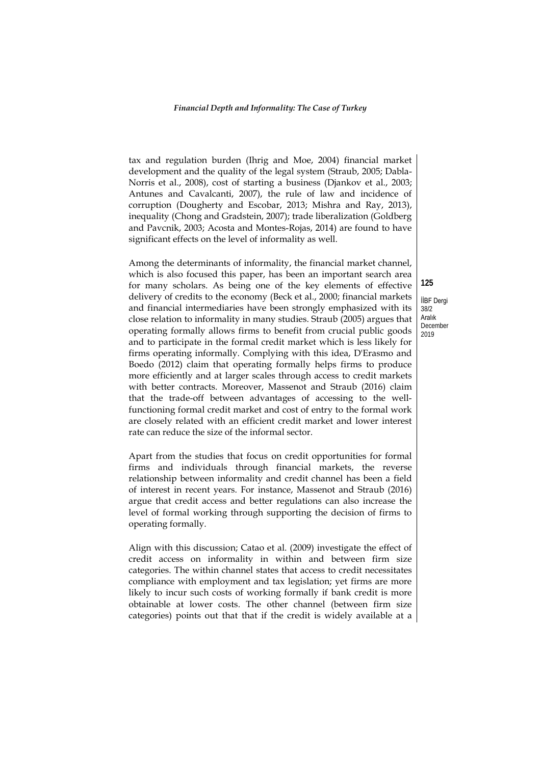tax and regulation burden (Ihrig and Moe, 2004) financial market development and the quality of the legal system (Straub, 2005; Dabla-Norris et al., 2008), cost of starting a business (Djankov et al., 2003; Antunes and Cavalcanti, 2007), the rule of law and incidence of corruption (Dougherty and Escobar, 2013; Mishra and Ray, 2013), inequality (Chong and Gradstein, 2007); trade liberalization (Goldberg and Pavcnik, 2003; Acosta and Montes-Rojas, 2014) are found to have significant effects on the level of informality as well.

Among the determinants of informality, the financial market channel, which is also focused this paper, has been an important search area for many scholars. As being one of the key elements of effective delivery of credits to the economy (Beck et al., 2000; financial markets and financial intermediaries have been strongly emphasized with its close relation to informality in many studies. Straub (2005) argues that operating formally allows firms to benefit from crucial public goods and to participate in the formal credit market which is less likely for firms operating informally. Complying with this idea, D'Erasmo and Boedo (2012) claim that operating formally helps firms to produce more efficiently and at larger scales through access to credit markets with better contracts. Moreover, Massenot and Straub (2016) claim that the trade-off between advantages of accessing to the wellfunctioning formal credit market and cost of entry to the formal work are closely related with an efficient credit market and lower interest rate can reduce the size of the informal sector.

Apart from the studies that focus on credit opportunities for formal firms and individuals through financial markets, the reverse relationship between informality and credit channel has been a field of interest in recent years. For instance, Massenot and Straub (2016) argue that credit access and better regulations can also increase the level of formal working through supporting the decision of firms to operating formally.

Align with this discussion; Catao et al. (2009) investigate the effect of credit access on informality in within and between firm size categories. The within channel states that access to credit necessitates compliance with employment and tax legislation; yet firms are more likely to incur such costs of working formally if bank credit is more obtainable at lower costs. The other channel (between firm size categories) points out that that if the credit is widely available at a

İİBF Dergi 38/2 Aralık December 2019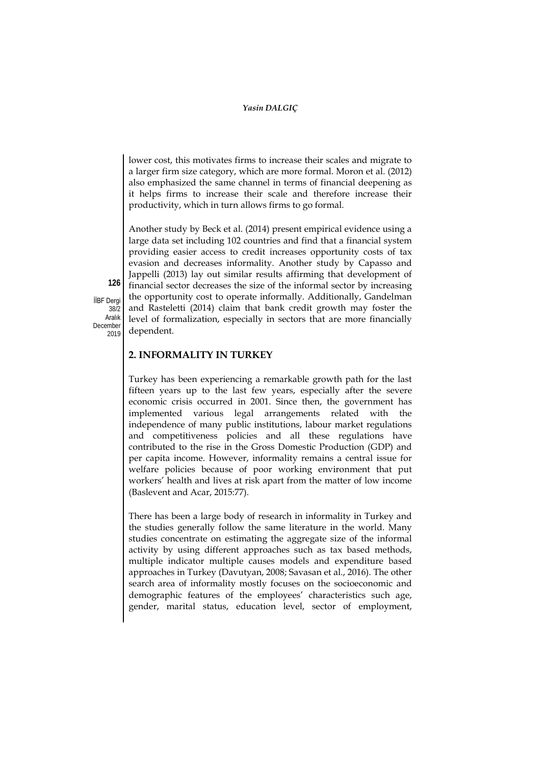lower cost, this motivates firms to increase their scales and migrate to a larger firm size category, which are more formal. Moron et al. (2012) also emphasized the same channel in terms of financial deepening as it helps firms to increase their scale and therefore increase their productivity, which in turn allows firms to go formal.

Another study by Beck et al. (2014) present empirical evidence using a large data set including 102 countries and find that a financial system providing easier access to credit increases opportunity costs of tax evasion and decreases informality. Another study by Capasso and Jappelli (2013) lay out similar results affirming that development of financial sector decreases the size of the informal sector by increasing the opportunity cost to operate informally. Additionally, Gandelman and Rasteletti (2014) claim that bank credit growth may foster the level of formalization, especially in sectors that are more financially dependent.

**2. INFORMALITY IN TURKEY**

Turkey has been experiencing a remarkable growth path for the last fifteen years up to the last few years, especially after the severe economic crisis occurred in 2001. Since then, the government has implemented various legal arrangements related with the independence of many public institutions, labour market regulations and competitiveness policies and all these regulations have contributed to the rise in the Gross Domestic Production (GDP) and per capita income. However, informality remains a central issue for welfare policies because of poor working environment that put workers' health and lives at risk apart from the matter of low income (Baslevent and Acar, 2015:77).

There has been a large body of research in informality in Turkey and the studies generally follow the same literature in the world. Many studies concentrate on estimating the aggregate size of the informal activity by using different approaches such as tax based methods, multiple indicator multiple causes models and expenditure based approaches in Turkey (Davutyan, 2008; Savasan et al., 2016). The other search area of informality mostly focuses on the socioeconomic and demographic features of the employees' characteristics such age, gender, marital status, education level, sector of employment,

İİBF Dergi 38/2 Aralık December 2019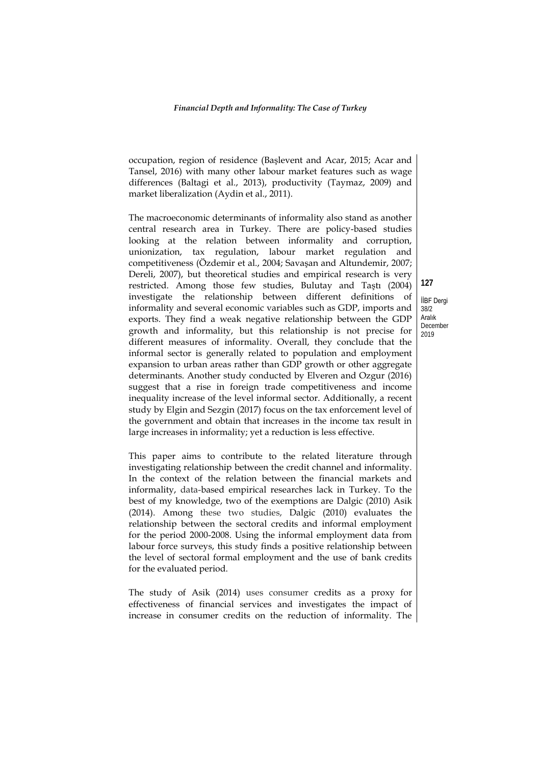occupation, region of residence (Başlevent and Acar, 2015; Acar and Tansel, 2016) with many other labour market features such as wage differences (Baltagi et al., 2013), productivity (Taymaz, 2009) and market liberalization (Aydin et al., 2011).

The macroeconomic determinants of informality also stand as another central research area in Turkey. There are policy-based studies looking at the relation between informality and corruption, unionization, tax regulation, labour market regulation and competitiveness (Özdemir et al., 2004; Savaşan and Altundemir, 2007; Dereli, 2007), but theoretical studies and empirical research is very restricted. Among those few studies, Bulutay and Taştı (2004) investigate the relationship between different definitions of informality and several economic variables such as GDP, imports and exports. They find a weak negative relationship between the GDP growth and informality, but this relationship is not precise for different measures of informality. Overall, they conclude that the informal sector is generally related to population and employment expansion to urban areas rather than GDP growth or other aggregate determinants. Another study conducted by Elveren and Ozgur (2016) suggest that a rise in foreign trade competitiveness and income inequality increase of the level informal sector. Additionally, a recent study by Elgin and Sezgin (2017) focus on the tax enforcement level of the government and obtain that increases in the income tax result in large increases in informality; yet a reduction is less effective.

This paper aims to contribute to the related literature through investigating relationship between the credit channel and informality. In the context of the relation between the financial markets and informality, data-based empirical researches lack in Turkey. To the best of my knowledge, two of the exemptions are Dalgic (2010) Asik (2014). Among these two studies, Dalgic (2010) evaluates the relationship between the sectoral credits and informal employment for the period 2000-2008. Using the informal employment data from labour force surveys, this study finds a positive relationship between the level of sectoral formal employment and the use of bank credits for the evaluated period.

The study of Asik (2014) uses consumer credits as a proxy for effectiveness of financial services and investigates the impact of increase in consumer credits on the reduction of informality. The

İİBF Dergi 38/2 Aralık December

**127**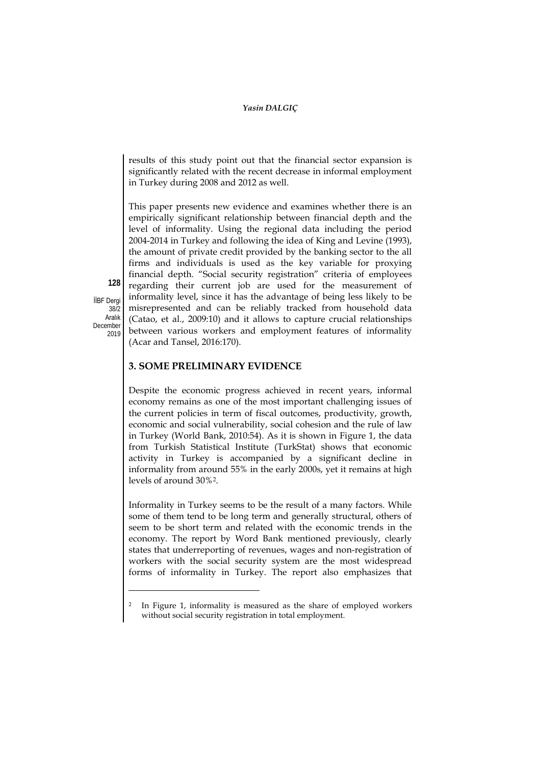results of this study point out that the financial sector expansion is significantly related with the recent decrease in informal employment in Turkey during 2008 and 2012 as well.

This paper presents new evidence and examines whether there is an empirically significant relationship between financial depth and the level of informality. Using the regional data including the period 2004-2014 in Turkey and following the idea of King and Levine (1993), the amount of private credit provided by the banking sector to the all firms and individuals is used as the key variable for proxying financial depth. "Social security registration" criteria of employees regarding their current job are used for the measurement of informality level, since it has the advantage of being less likely to be misrepresented and can be reliably tracked from household data (Catao, et al., 2009:10) and it allows to capture crucial relationships between various workers and employment features of informality (Acar and Tansel, 2016:170).

İİBF Dergi  $38/2$ Aralık December 2019

-

**128**

# **3. SOME PRELIMINARY EVIDENCE**

Despite the economic progress achieved in recent years, informal economy remains as one of the most important challenging issues of the current policies in term of fiscal outcomes, productivity, growth, economic and social vulnerability, social cohesion and the rule of law in Turkey (World Bank, 2010:54). As it is shown in Figure 1, the data from Turkish Statistical Institute (TurkStat) shows that economic activity in Turkey is accompanied by a significant decline in informality from around 55% in the early 2000s, yet it remains at high levels of around 30%[2.](#page-0-1)

Informality in Turkey seems to be the result of a many factors. While some of them tend to be long term and generally structural, others of seem to be short term and related with the economic trends in the economy. The report by Word Bank mentioned previously, clearly states that underreporting of revenues, wages and non-registration of workers with the social security system are the most widespread forms of informality in Turkey. The report also emphasizes that

<sup>&</sup>lt;sup>2</sup> In Figure 1, informality is measured as the share of employed workers without social security registration in total employment.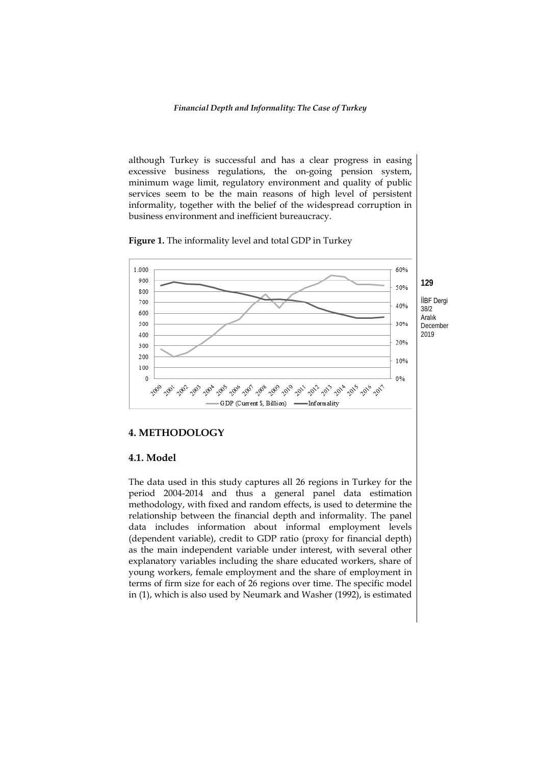although Turkey is successful and has a clear progress in easing excessive business regulations, the on-going pension system, minimum wage limit, regulatory environment and quality of public services seem to be the main reasons of high level of persistent informality, together with the belief of the widespread corruption in business environment and inefficient bureaucracy.

**Figure 1.** The informality level and total GDP in Turkey



#### **4. METHODOLOGY**

#### **4.1. Model**

The data used in this study captures all 26 regions in Turkey for the period 2004-2014 and thus a general panel data estimation methodology, with fixed and random effects, is used to determine the relationship between the financial depth and informality. The panel data includes information about informal employment levels (dependent variable), credit to GDP ratio (proxy for financial depth) as the main independent variable under interest, with several other explanatory variables including the share educated workers, share of young workers, female employment and the share of employment in terms of firm size for each of 26 regions over time. The specific model in (1), which is also used by Neumark and Washer (1992), is estimated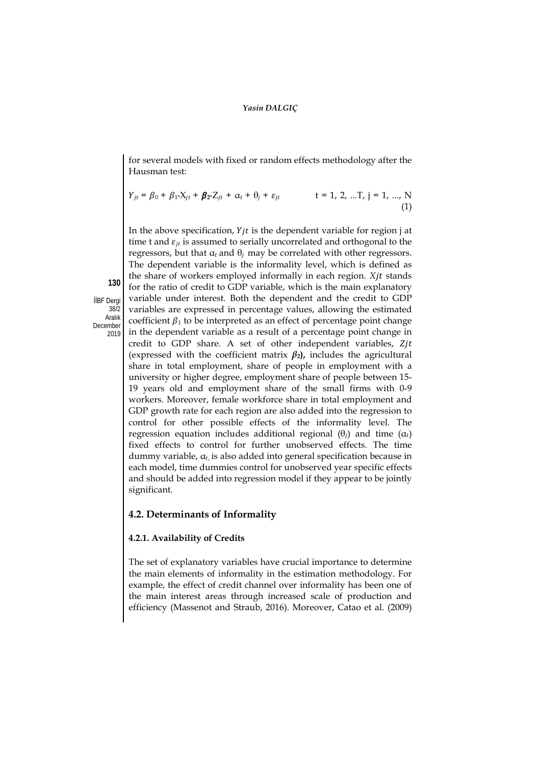for several models with fixed or random effects methodology after the Hausman test:

$$
Y_{jt} = \beta_0 + \beta_{1^*} X_{jt} + \beta_{2^*} Z_{jt} + \alpha_t + \theta_j + \varepsilon_{jt} \qquad \qquad t = 1, 2, ...T, j = 1, ..., N
$$
\n(1)

In the above specification,  $Yjt$  is the dependent variable for region j at time t and  $\varepsilon_{it}$  is assumed to serially uncorrelated and orthogonal to the regressors, but that  $\alpha_t$  and  $\theta_j$  may be correlated with other regressors. The dependent variable is the informality level, which is defined as the share of workers employed informally in each region. *Xjt* stands for the ratio of credit to GDP variable, which is the main explanatory variable under interest. Both the dependent and the credit to GDP variables are expressed in percentage values, allowing the estimated coefficient  $\beta_1$  to be interpreted as an effect of percentage point change in the dependent variable as a result of a percentage point change in credit to GDP share. A set of other independent variables, (expressed with the coefficient matrix  $\beta_2$ ), includes the agricultural share in total employment, share of people in employment with a university or higher degree, employment share of people between 15- 19 years old and employment share of the small firms with 0-9 workers. Moreover, female workforce share in total employment and GDP growth rate for each region are also added into the regression to control for other possible effects of the informality level. The regression equation includes additional regional  $(\theta_i)$  and time  $(\alpha_t)$ fixed effects to control for further unobserved effects. The time dummy variable,  $\alpha_t$  is also added into general specification because in each model, time dummies control for unobserved year specific effects and should be added into regression model if they appear to be jointly significant.

### **4.2. Determinants of Informality**

# **4.2.1. Availability of Credits**

The set of explanatory variables have crucial importance to determine the main elements of informality in the estimation methodology. For example, the effect of credit channel over informality has been one of the main interest areas through increased scale of production and efficiency (Massenot and Straub, 2016). Moreover, Catao et al. (2009)

İİBF Dergi  $38/2$ Aralık December 2019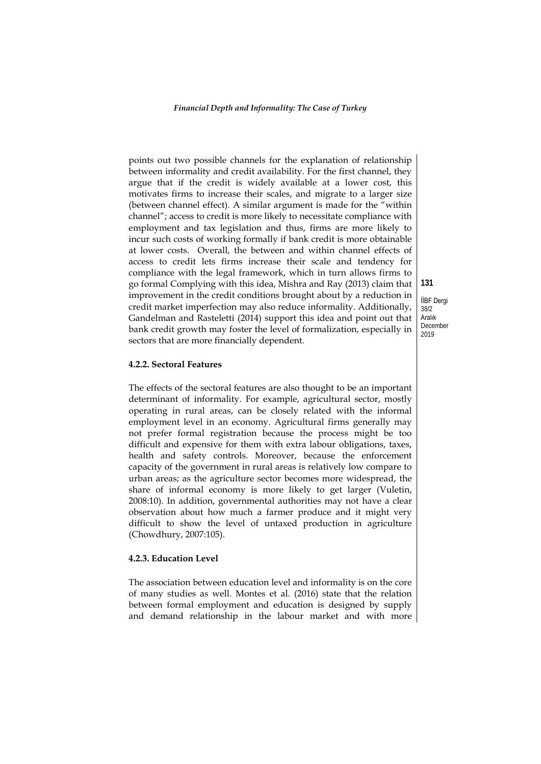points out two possible channels for the explanation of relationship between informality and credit availability. For the first channel, they argue that if the credit is widely available at a lower cost, this motivates firms to increase their scales, and migrate to a larger size (between channel effect). A similar argument is made for the "within channel"; access to credit is more likely to necessitate compliance with employment and tax legislation and thus, firms are more likely to incur such costs of working formally if bank credit is more obtainable at lower costs. Overall, the between and within channel effects of access to credit lets firms increase their scale and tendency for compliance with the legal framework, which in turn allows firms to go formal Complying with this idea, Mishra and Ray (2013) claim that improvement in the credit conditions brought about by a reduction in credit market imperfection may also reduce informality. Additionally, Gandelman and Rasteletti (2014) support this idea and point out that bank credit growth may foster the level of formalization, especially in sectors that are more financially dependent.

# **4.2.2. Sectoral Features**

The effects of the sectoral features are also thought to be an important determinant of informality. For example, agricultural sector, mostly operating in rural areas, can be closely related with the informal employment level in an economy. Agricultural firms generally may not prefer formal registration because the process might be too difficult and expensive for them with extra labour obligations, taxes, health and safety controls. Moreover, because the enforcement capacity of the government in rural areas is relatively low compare to urban areas; as the agriculture sector becomes more widespread, the share of informal economy is more likely to get larger (Vuletin, 2008:10). In addition, governmental authorities may not have a clear observation about how much a farmer produce and it might very difficult to show the level of untaxed production in agriculture (Chowdhury, 2007:105).

#### **4.2.3. Education Level**

The association between education level and informality is on the core of many studies as well. Montes et al. (2016) state that the relation between formal employment and education is designed by supply and demand relationship in the labour market and with more

İİBF Dergi 38/2 Aralık December 2019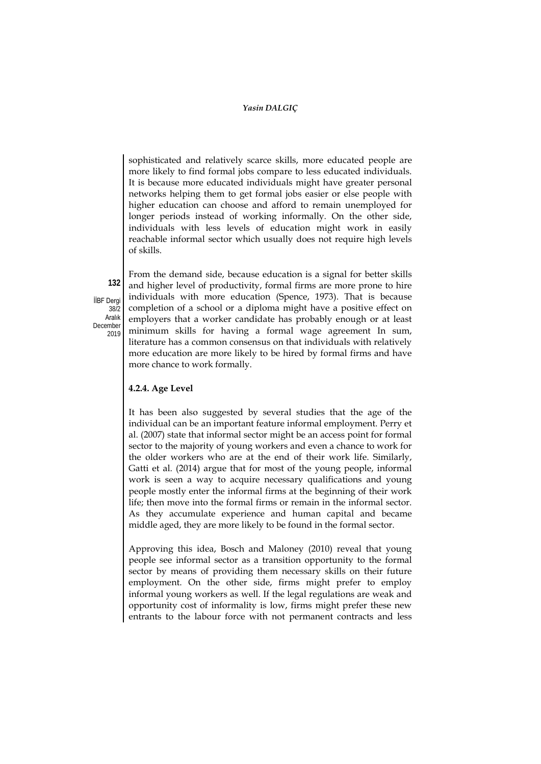sophisticated and relatively scarce skills, more educated people are more likely to find formal jobs compare to less educated individuals. It is because more educated individuals might have greater personal networks helping them to get formal jobs easier or else people with higher education can choose and afford to remain unemployed for longer periods instead of working informally. On the other side, individuals with less levels of education might work in easily reachable informal sector which usually does not require high levels of skills.

**132** İİBF Dergi 38/2 Aralık December 2019

From the demand side, because education is a signal for better skills and higher level of productivity, formal firms are more prone to hire individuals with more education (Spence, 1973). That is because completion of a school or a diploma might have a positive effect on employers that a worker candidate has probably enough or at least minimum skills for having a formal wage agreement In sum, literature has a common consensus on that individuals with relatively more education are more likely to be hired by formal firms and have more chance to work formally.

### **4.2.4. Age Level**

It has been also suggested by several studies that the age of the individual can be an important feature informal employment. Perry et al. (2007) state that informal sector might be an access point for formal sector to the majority of young workers and even a chance to work for the older workers who are at the end of their work life. Similarly, Gatti et al. (2014) argue that for most of the young people, informal work is seen a way to acquire necessary qualifications and young people mostly enter the informal firms at the beginning of their work life; then move into the formal firms or remain in the informal sector. As they accumulate experience and human capital and became middle aged, they are more likely to be found in the formal sector.

Approving this idea, Bosch and Maloney (2010) reveal that young people see informal sector as a transition opportunity to the formal sector by means of providing them necessary skills on their future employment. On the other side, firms might prefer to employ informal young workers as well. If the legal regulations are weak and opportunity cost of informality is low, firms might prefer these new entrants to the labour force with not permanent contracts and less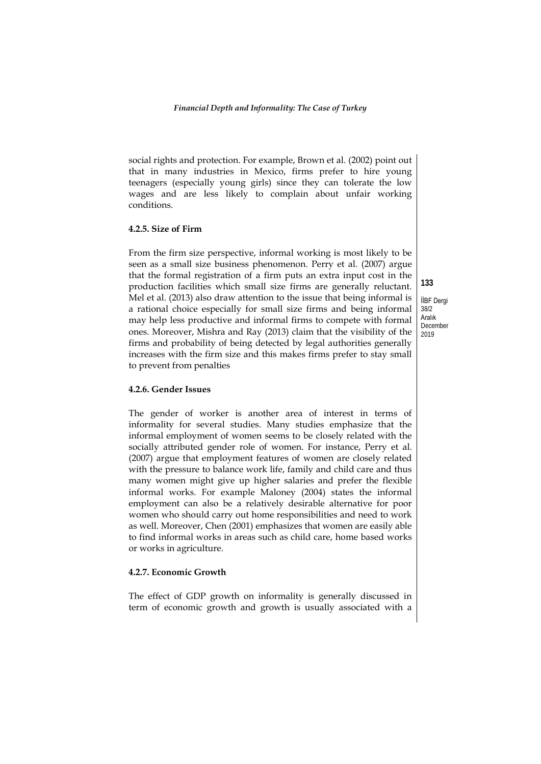social rights and protection. For example, Brown et al. (2002) point out that in many industries in Mexico, firms prefer to hire young teenagers (especially young girls) since they can tolerate the low wages and are less likely to complain about unfair working conditions.

#### **4.2.5. Size of Firm**

From the firm size perspective, informal working is most likely to be seen as a small size business phenomenon. Perry et al. (2007) argue that the formal registration of a firm puts an extra input cost in the production facilities which small size firms are generally reluctant. Mel et al. (2013) also draw attention to the issue that being informal is a rational choice especially for small size firms and being informal may help less productive and informal firms to compete with formal ones. Moreover, Mishra and Ray (2013) claim that the visibility of the firms and probability of being detected by legal authorities generally increases with the firm size and this makes firms prefer to stay small to prevent from penalties

#### **4.2.6. Gender Issues**

The gender of worker is another area of interest in terms of informality for several studies. Many studies emphasize that the informal employment of women seems to be closely related with the socially attributed gender role of women. For instance, Perry et al. (2007) argue that employment features of women are closely related with the pressure to balance work life, family and child care and thus many women might give up higher salaries and prefer the flexible informal works. For example Maloney (2004) states the informal employment can also be a relatively desirable alternative for poor women who should carry out home responsibilities and need to work as well. Moreover, Chen (2001) emphasizes that women are easily able to find informal works in areas such as child care, home based works or works in agriculture.

#### **4.2.7. Economic Growth**

The effect of GDP growth on informality is generally discussed in term of economic growth and growth is usually associated with a

**133** İİBF Dergi 38/2 Aralık December 2019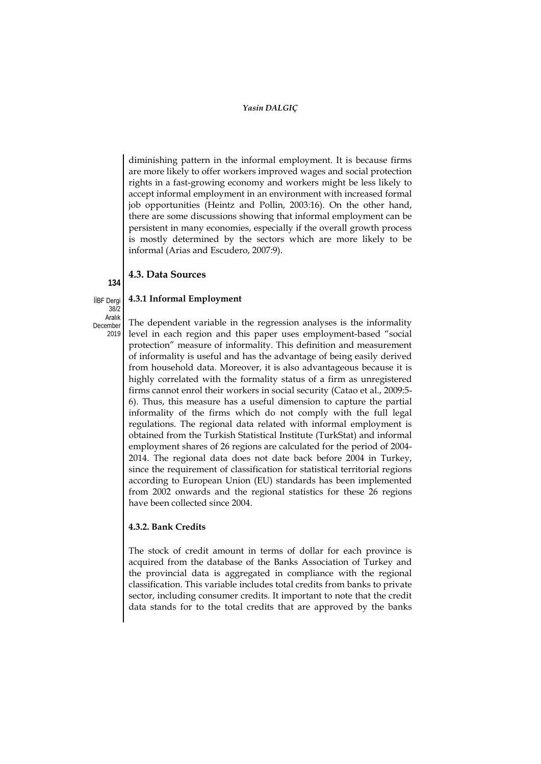diminishing pattern in the informal employment. It is because firms are more likely to offer workers improved wages and social protection rights in a fast-growing economy and workers might be less likely to accept informal employment in an environment with increased formal job opportunities (Heintz and Pollin, 2003:16). On the other hand, there are some discussions showing that informal employment can be persistent in many economies, especially if the overall growth process is mostly determined by the sectors which are more likely to be informal (Arias and Escudero, 2007:9).

# **4.3. Data Sources**

**4.3.1 Informal Employment**

İİBF Dergi  $38/2$ Aralık December

**134**

2019

The dependent variable in the regression analyses is the informality level in each region and this paper uses employment-based "social protection" measure of informality. This definition and measurement of informality is useful and has the advantage of being easily derived from household data. Moreover, it is also advantageous because it is highly correlated with the formality status of a firm as unregistered firms cannot enrol their workers in social security (Catao et al., 2009:5- 6). Thus, this measure has a useful dimension to capture the partial informality of the firms which do not comply with the full legal regulations. The regional data related with informal employment is obtained from the Turkish Statistical Institute (TurkStat) and informal employment shares of 26 regions are calculated for the period of 2004- 2014. The regional data does not date back before 2004 in Turkey, since the requirement of classification for statistical territorial regions according to European Union (EU) standards has been implemented from 2002 onwards and the regional statistics for these 26 regions have been collected since 2004.

# **4.3.2. Bank Credits**

The stock of credit amount in terms of dollar for each province is acquired from the database of the Banks Association of Turkey and the provincial data is aggregated in compliance with the regional classification. This variable includes total credits from banks to private sector, including consumer credits. It important to note that the credit data stands for to the total credits that are approved by the banks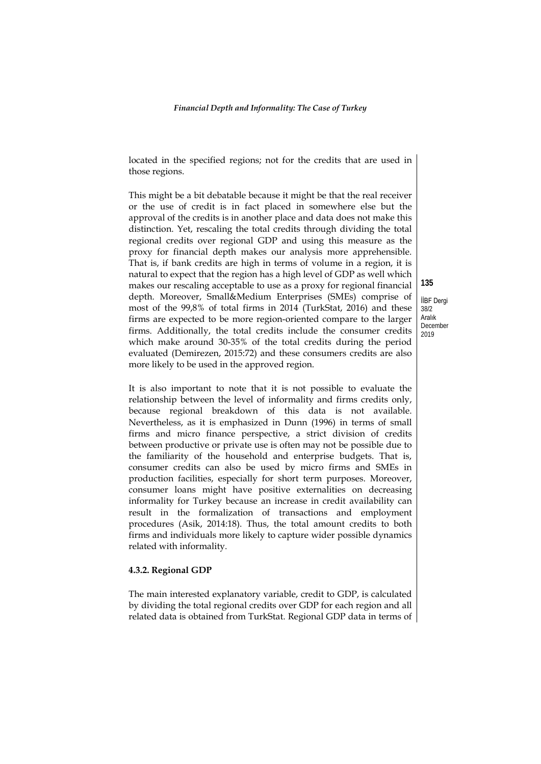located in the specified regions; not for the credits that are used in those regions.

This might be a bit debatable because it might be that the real receiver or the use of credit is in fact placed in somewhere else but the approval of the credits is in another place and data does not make this distinction. Yet, rescaling the total credits through dividing the total regional credits over regional GDP and using this measure as the proxy for financial depth makes our analysis more apprehensible. That is, if bank credits are high in terms of volume in a region, it is natural to expect that the region has a high level of GDP as well which makes our rescaling acceptable to use as a proxy for regional financial depth. Moreover, Small&Medium Enterprises (SMEs) comprise of most of the 99,8% of total firms in 2014 (TurkStat, 2016) and these firms are expected to be more region-oriented compare to the larger firms. Additionally, the total credits include the consumer credits which make around 30-35% of the total credits during the period evaluated (Demirezen, 2015:72) and these consumers credits are also more likely to be used in the approved region.

It is also important to note that it is not possible to evaluate the relationship between the level of informality and firms credits only, because regional breakdown of this data is not available. Nevertheless, as it is emphasized in Dunn (1996) in terms of small firms and micro finance perspective, a strict division of credits between productive or private use is often may not be possible due to the familiarity of the household and enterprise budgets. That is, consumer credits can also be used by micro firms and SMEs in production facilities, especially for short term purposes. Moreover, consumer loans might have positive externalities on decreasing informality for Turkey because an increase in credit availability can result in the formalization of transactions and employment procedures (Asik, 2014:18). Thus, the total amount credits to both firms and individuals more likely to capture wider possible dynamics related with informality.

#### **4.3.2. Regional GDP**

The main interested explanatory variable, credit to GDP, is calculated by dividing the total regional credits over GDP for each region and all related data is obtained from TurkStat. Regional GDP data in terms of

İİBF Dergi 38/2 Aralık December 2019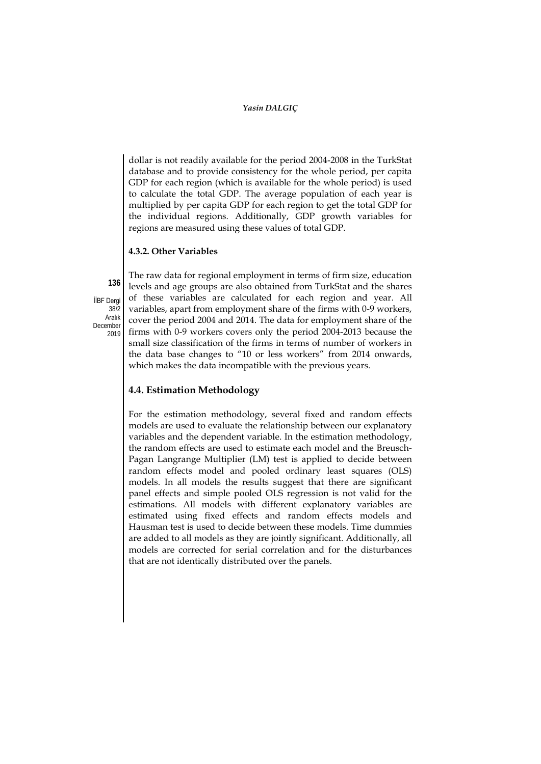dollar is not readily available for the period 2004-2008 in the TurkStat database and to provide consistency for the whole period, per capita GDP for each region (which is available for the whole period) is used to calculate the total GDP. The average population of each year is multiplied by per capita GDP for each region to get the total GDP for the individual regions. Additionally, GDP growth variables for regions are measured using these values of total GDP.

#### **4.3.2. Other Variables**

İİBF Dergi  $38/2$ Aralık December 2019

**136**

The raw data for regional employment in terms of firm size, education levels and age groups are also obtained from TurkStat and the shares of these variables are calculated for each region and year. All variables, apart from employment share of the firms with 0-9 workers, cover the period 2004 and 2014. The data for employment share of the firms with 0-9 workers covers only the period 2004-2013 because the small size classification of the firms in terms of number of workers in the data base changes to "10 or less workers" from 2014 onwards, which makes the data incompatible with the previous years.

# **4.4. Estimation Methodology**

For the estimation methodology, several fixed and random effects models are used to evaluate the relationship between our explanatory variables and the dependent variable. In the estimation methodology, the random effects are used to estimate each model and the Breusch-Pagan Langrange Multiplier (LM) test is applied to decide between random effects model and pooled ordinary least squares (OLS) models. In all models the results suggest that there are significant panel effects and simple pooled OLS regression is not valid for the estimations. All models with different explanatory variables are estimated using fixed effects and random effects models and Hausman test is used to decide between these models. Time dummies are added to all models as they are jointly significant. Additionally, all models are corrected for serial correlation and for the disturbances that are not identically distributed over the panels.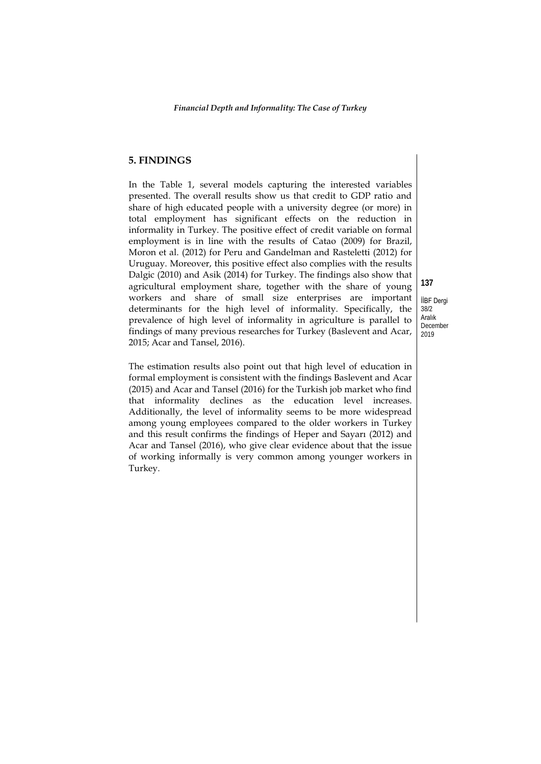# **5. FINDINGS**

In the Table 1, several models capturing the interested variables presented. The overall results show us that credit to GDP ratio and share of high educated people with a university degree (or more) in total employment has significant effects on the reduction in informality in Turkey. The positive effect of credit variable on formal employment is in line with the results of Catao (2009) for Brazil, Moron et al. (2012) for Peru and Gandelman and Rasteletti (2012) for Uruguay. Moreover, this positive effect also complies with the results Dalgic (2010) and Asik (2014) for Turkey. The findings also show that agricultural employment share, together with the share of young workers and share of small size enterprises are important determinants for the high level of informality. Specifically, the prevalence of high level of informality in agriculture is parallel to findings of many previous researches for Turkey (Baslevent and Acar, 2015; Acar and Tansel, 2016).

The estimation results also point out that high level of education in formal employment is consistent with the findings Baslevent and Acar (2015) and Acar and Tansel (2016) for the Turkish job market who find that informality declines as the education level increases. Additionally, the level of informality seems to be more widespread among young employees compared to the older workers in Turkey and this result confirms the findings of Heper and Sayarı (2012) and Acar and Tansel (2016), who give clear evidence about that the issue of working informally is very common among younger workers in Turkey.

İİBF Dergi 38/2 Aralık December 2019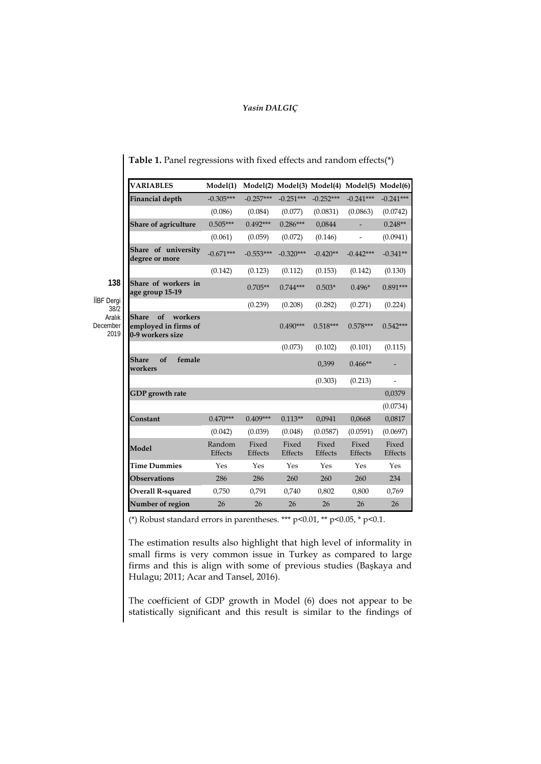| <b>VARIABLES</b>                                                   | Model(1)          |                  |                  |                  | Model(2) Model(3) Model(4) Model(5) | Model(6)                 |
|--------------------------------------------------------------------|-------------------|------------------|------------------|------------------|-------------------------------------|--------------------------|
| Financial depth                                                    | $-0.305***$       | $-0.257***$      | $-0.251***$      | $-0.252***$      | $-0.241***$                         | $-0.241***$              |
|                                                                    | (0.086)           | (0.084)          | (0.077)          | (0.0831)         | (0.0863)                            | (0.0742)                 |
| Share of agriculture                                               | $0.505***$        | $0.492***$       | $0.286***$       | 0,0844           |                                     | $0.248**$                |
|                                                                    | (0.061)           | (0.059)          | (0.072)          | (0.146)          | $\overline{\phantom{a}}$            | (0.0941)                 |
| Share of university<br>degree or more                              | $-0.671***$       | $-0.553***$      | $-0.320***$      | $-0.420**$       | $-0.442***$                         | $-0.341**$               |
|                                                                    | (0.142)           | (0.123)          | (0.112)          | (0.153)          | (0.142)                             | (0.130)                  |
| Share of workers in<br>age group 15-19                             |                   | $0.705**$        | $0.744***$       | $0.503*$         | $0.496*$                            | $0.891***$               |
|                                                                    |                   | (0.239)          | (0.208)          | (0.282)          | (0.271)                             | (0.224)                  |
| of<br>workers<br>Share<br>employed in firms of<br>0-9 workers size |                   |                  | $0.490***$       | $0.518***$       | $0.578***$                          | $0.542***$               |
|                                                                    |                   |                  | (0.073)          | (0.102)          | (0.101)                             | (0.115)                  |
| of<br>female<br>Share<br>workers                                   |                   |                  |                  | 0,399            | $0.466**$                           | $\overline{\phantom{0}}$ |
|                                                                    |                   |                  |                  | (0.303)          | (0.213)                             | $\overline{\phantom{a}}$ |
| GDP growth rate                                                    |                   |                  |                  |                  |                                     | 0,0379                   |
|                                                                    |                   |                  |                  |                  |                                     | (0.0734)                 |
| Constant                                                           | $0.470***$        | $0.409***$       | $0.113**$        | 0,0941           | 0,0668                              | 0,0817                   |
|                                                                    | (0.042)           | (0.039)          | (0.048)          | (0.0587)         | (0.0591)                            | (0.0697)                 |
| Model                                                              | Random<br>Effects | Fixed<br>Effects | Fixed<br>Effects | Fixed<br>Effects | Fixed<br>Effects                    | Fixed<br>Effects         |
| <b>Time Dummies</b>                                                | Yes               | Yes              | Yes              | Yes              | Yes                                 | Yes                      |
| <b>Observations</b>                                                | 286               | 286              | 260              | 260              | 260                                 | 234                      |
| <b>Overall R-squared</b>                                           | 0,750             | 0,791            | 0,740            | 0,802            | 0,800                               | 0,769                    |
| Number of region                                                   | 26                | 26               | 26               | 26               | 26                                  | 26                       |

**138**

İİBF Dergi 38/2 Aralık December 2019 **Table 1.** Panel regressions with fixed effects and random effects(\*)

(\*) Robust standard errors in parentheses. \*\*\* p<0.01, \*\* p<0.05, \* p<0.1.

The estimation results also highlight that high level of informality in small firms is very common issue in Turkey as compared to large firms and this is align with some of previous studies (Başkaya and Hulagu; 2011; Acar and Tansel, 2016).

The coefficient of GDP growth in Model (6) does not appear to be statistically significant and this result is similar to the findings of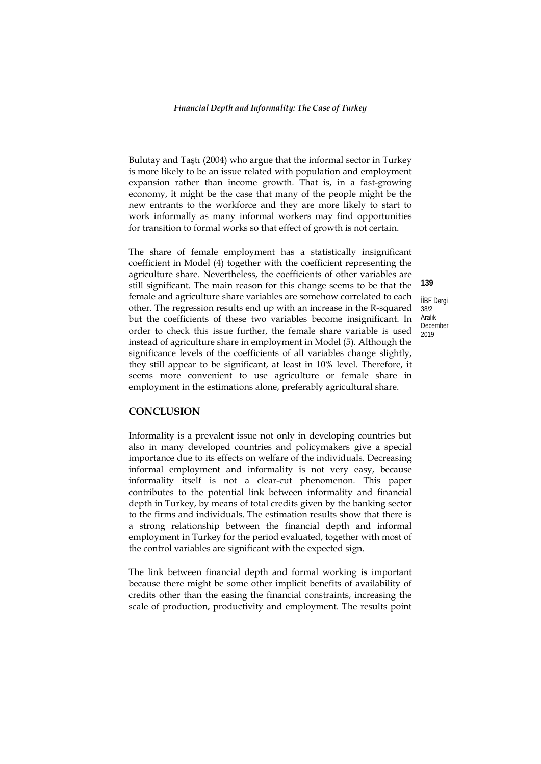Bulutay and Taştı (2004) who argue that the informal sector in Turkey is more likely to be an issue related with population and employment expansion rather than income growth. That is, in a fast-growing economy, it might be the case that many of the people might be the new entrants to the workforce and they are more likely to start to work informally as many informal workers may find opportunities for transition to formal works so that effect of growth is not certain.

The share of female employment has a statistically insignificant coefficient in Model (4) together with the coefficient representing the agriculture share. Nevertheless, the coefficients of other variables are still significant. The main reason for this change seems to be that the female and agriculture share variables are somehow correlated to each other. The regression results end up with an increase in the R-squared but the coefficients of these two variables become insignificant. In order to check this issue further, the female share variable is used instead of agriculture share in employment in Model (5). Although the significance levels of the coefficients of all variables change slightly, they still appear to be significant, at least in 10% level. Therefore, it seems more convenient to use agriculture or female share in employment in the estimations alone, preferably agricultural share.

## **CONCLUSION**

Informality is a prevalent issue not only in developing countries but also in many developed countries and policymakers give a special importance due to its effects on welfare of the individuals. Decreasing informal employment and informality is not very easy, because informality itself is not a clear-cut phenomenon. This paper contributes to the potential link between informality and financial depth in Turkey, by means of total credits given by the banking sector to the firms and individuals. The estimation results show that there is a strong relationship between the financial depth and informal employment in Turkey for the period evaluated, together with most of the control variables are significant with the expected sign.

The link between financial depth and formal working is important because there might be some other implicit benefits of availability of credits other than the easing the financial constraints, increasing the scale of production, productivity and employment. The results point

İİBF Dergi 38/2 Aralık December 2019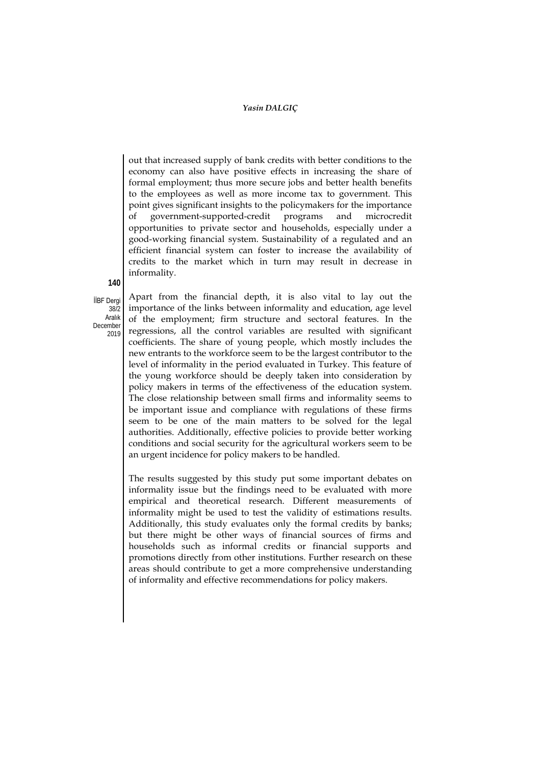out that increased supply of bank credits with better conditions to the economy can also have positive effects in increasing the share of formal employment; thus more secure jobs and better health benefits to the employees as well as more income tax to government. This point gives significant insights to the policymakers for the importance government-supported-credit programs and microcredit opportunities to private sector and households, especially under a good-working financial system. Sustainability of a regulated and an efficient financial system can foster to increase the availability of credits to the market which in turn may result in decrease in informality.

**140**

İİBF Dergi  $38/2$ Aralık December 2019 Apart from the financial depth, it is also vital to lay out the importance of the links between informality and education, age level of the employment; firm structure and sectoral features. In the regressions, all the control variables are resulted with significant coefficients. The share of young people, which mostly includes the new entrants to the workforce seem to be the largest contributor to the level of informality in the period evaluated in Turkey. This feature of the young workforce should be deeply taken into consideration by policy makers in terms of the effectiveness of the education system. The close relationship between small firms and informality seems to be important issue and compliance with regulations of these firms seem to be one of the main matters to be solved for the legal authorities. Additionally, effective policies to provide better working conditions and social security for the agricultural workers seem to be an urgent incidence for policy makers to be handled.

The results suggested by this study put some important debates on informality issue but the findings need to be evaluated with more empirical and theoretical research. Different measurements of informality might be used to test the validity of estimations results. Additionally, this study evaluates only the formal credits by banks; but there might be other ways of financial sources of firms and households such as informal credits or financial supports and promotions directly from other institutions. Further research on these areas should contribute to get a more comprehensive understanding of informality and effective recommendations for policy makers.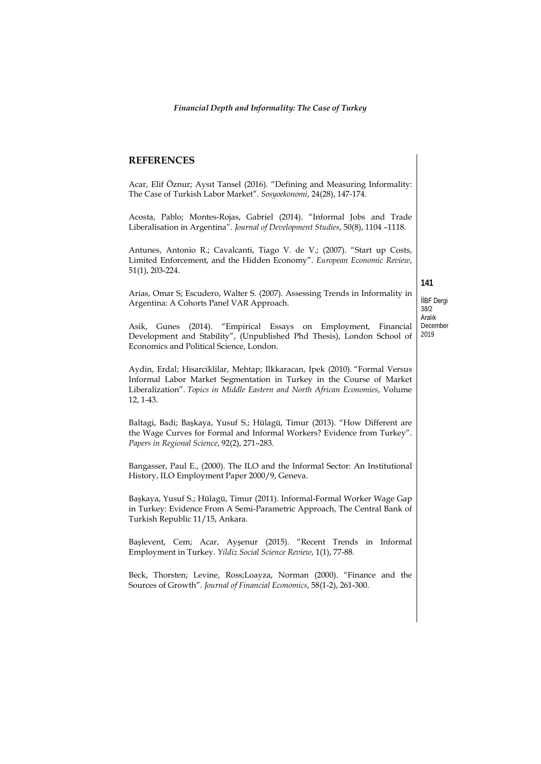#### **REFERENCES**

Acar, Elif Öznur; Aysıt Tansel (2016). "Defining and Measuring Informality: The Case of Turkish Labor Market". *Sosyoekonomi*, 24(28), 147-174.

Acosta, Pablo; Montes-Rojas, Gabriel (2014). "Informal Jobs and Trade Liberalisation in Argentina". *Journal of Development Studies*, 50(8), 1104 –1118.

Antunes, Antonio R.; Cavalcanti, Tiago V. de V.; (2007). "Start up Costs, Limited Enforcement, and the Hidden Economy". *European Economic Review*, 51(1), 203-224.

Arias, Omar S; Escudero, Walter S. (2007). Assessing Trends in Informality in Argentina: A Cohorts Panel VAR Approach.

İİBF Dergi 38/2 Aralık December

**141**

2019 Asik, Gunes (2014). "Empirical Essays on Employment, Financial Development and Stability", (Unpublished Phd Thesis), London School of Economics and Political Science, London.

Aydin, Erdal; Hisarciklilar, Mehtap; Ilkkaracan, Ipek (2010). "Formal Versus Informal Labor Market Segmentation in Turkey in the Course of Market Liberalization". *Topics in Middle Eastern and North African Economies*, Volume 12, 1-43.

Baltagi, Badi; Başkaya, Yusuf S.; Hülagü, Timur (2013). "How Different are the Wage Curves for Formal and Informal Workers? Evidence from Turkey". *Papers in Regional Science*, 92(2), 271–283.

Bangasser, Paul E., (2000). The ILO and the Informal Sector: An Institutional History, ILO Employment Paper 2000/9, Geneva.

Başkaya, Yusuf S.; Hülagü, Timur (2011). Informal-Formal Worker Wage Gap in Turkey: Evidence From A Semi-Parametric Approach, The Central Bank of Turkish Republic 11/15, Ankara.

Başlevent, Cem; Acar, Ayşenur (2015). "Recent Trends in Informal Employment in Turkey. *Yildiz Social Science Review*, 1(1), 77-88.

Beck, Thorsten; Levine, Ross;Loayza, Norman (2000). "Finance and the Sources of Growth". *Journal of Financial Economics*, 58(1-2), 261-300.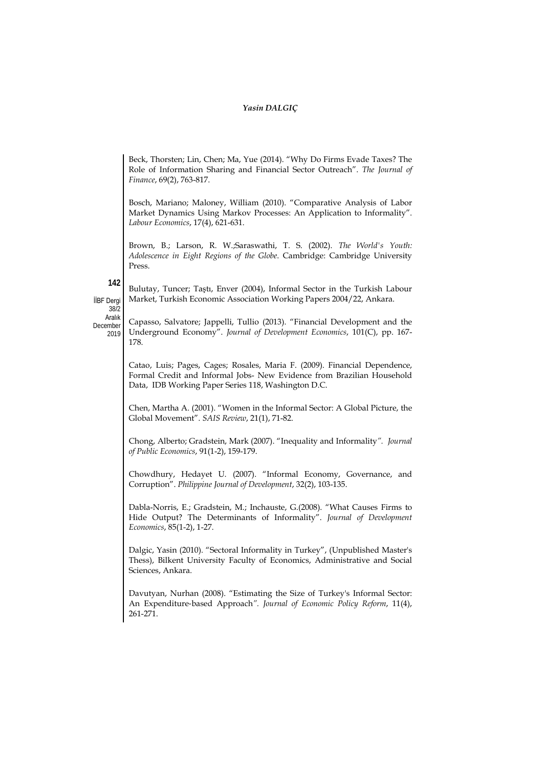Beck, Thorsten; Lin, Chen; Ma, Yue (2014). "Why Do Firms Evade Taxes? The Role of Information Sharing and Financial Sector Outreach". *The Journal of Finance*, 69(2), 763-817.

Bosch, Mariano; Maloney, William (2010). "Comparative Analysis of Labor Market Dynamics Using Markov Processes: An Application to Informality". *Labour Economics*, 17(4), 621-631.

Brown, B.; Larson, R. W.;Saraswathi, T. S. (2002). *The World's Youth: Adolescence in Eight Regions of the Globe*. Cambridge: Cambridge University Press.

Bulutay, Tuncer; Taştı, Enver (2004), Informal Sector in the Turkish Labour Market, Turkish Economic Association Working Papers 2004/22, Ankara.

**142**

İİBF Dergi 38/2 Aralık

December 2019 Capasso, Salvatore; Jappelli, Tullio (2013). "Financial Development and the Underground Economy". *Journal of Development Economics*, 101(C), pp. 167- 178.

Catao, Luis; Pages, Cages; Rosales, Maria F. (2009). Financial Dependence, Formal Credit and Informal Jobs- New Evidence from Brazilian Household Data, IDB Working Paper Series 118, Washington D.C.

Chen, Martha A. (2001). "Women in the Informal Sector: A Global Picture, the Global Movement". *SAIS Review*, 21(1), 71-82.

Chong, Alberto; Gradstein, Mark (2007). "Inequality and Informality*". Journal of Public Economics*, 91(1-2), 159-179.

Chowdhury, Hedayet U. (2007). "Informal Economy, Governance, and Corruption". *Philippine Journal of Development*, 32(2), 103-135.

Dabla-Norris, E.; Gradstein, M.; Inchauste, G.(2008). "What Causes Firms to Hide Output? The Determinants of Informality". *Journal of Development Economics*, 85(1-2), 1-27.

Dalgic, Yasin (2010). "Sectoral Informality in Turkey", (Unpublished Master's Thess), Bilkent University Faculty of Economics, Administrative and Social Sciences, Ankara.

Davutyan, Nurhan (2008). "Estimating the Size of Turkey's Informal Sector: An Expenditure‐based Approach*". Journal of Economic Policy Reform*, 11(4), 261-271.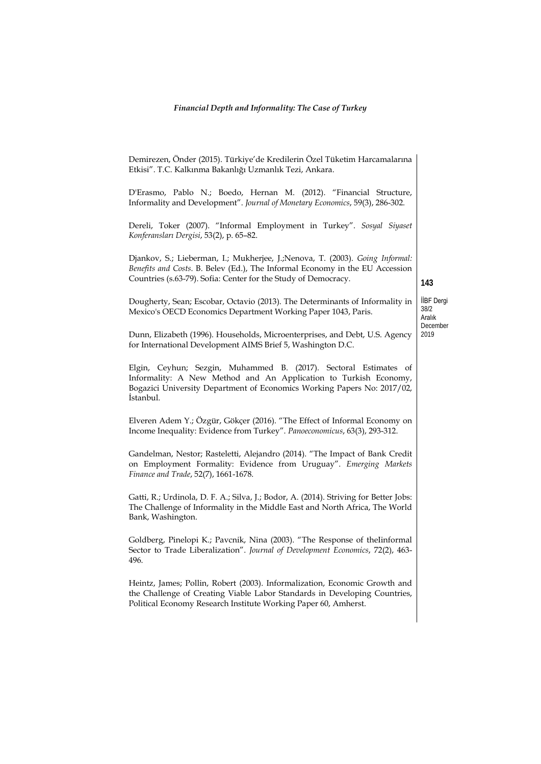| Demirezen, Önder (2015). Türkiye'de Kredilerin Özel Tüketim Harcamalarına<br>Etkisi". T.C. Kalkınma Bakanlığı Uzmanlık Tezi, Ankara.                                                                                           |                              |  |  |  |
|--------------------------------------------------------------------------------------------------------------------------------------------------------------------------------------------------------------------------------|------------------------------|--|--|--|
| D'Erasmo, Pablo N.; Boedo, Hernan M. (2012). "Financial Structure,<br>Informality and Development". Journal of Monetary Economics, 59(3), 286-302.                                                                             |                              |  |  |  |
| Dereli, Toker (2007). "Informal Employment in Turkey". Sosyal Siyaset<br>Konferansları Dergisi, 53(2), p. 65-82.                                                                                                               |                              |  |  |  |
| Djankov, S.; Lieberman, I.; Mukherjee, J.;Nenova, T. (2003). Going Informal:<br>Benefits and Costs. B. Belev (Ed.), The Informal Economy in the EU Accession<br>Countries (s.63-79). Sofia: Center for the Study of Democracy. | 143                          |  |  |  |
| Dougherty, Sean; Escobar, Octavio (2013). The Determinants of Informality in<br>Mexico's OECD Economics Department Working Paper 1043, Paris.                                                                                  | İİBF Dergi<br>38/2<br>Aralık |  |  |  |
| Dunn, Elizabeth (1996). Households, Microenterprises, and Debt, U.S. Agency<br>for International Development AIMS Brief 5, Washington D.C.                                                                                     | December<br>2019             |  |  |  |
| Elgin, Ceyhun; Sezgin, Muhammed B. (2017). Sectoral Estimates of<br>Informality: A New Method and An Application to Turkish Economy,<br>Bogazici University Department of Economics Working Papers No: 2017/02,<br>Istanbul.   |                              |  |  |  |
| Elveren Adem Y.; Özgür, Gökçer (2016). "The Effect of Informal Economy on<br>Income Inequality: Evidence from Turkey". Panoeconomicus, 63(3), 293-312.                                                                         |                              |  |  |  |
| Gandelman, Nestor; Rasteletti, Alejandro (2014). "The Impact of Bank Credit<br>on Employment Formality: Evidence from Uruguay". Emerging Markets<br>Finance and Trade, 52(7), 1661-1678.                                       |                              |  |  |  |
| Gatti, R.; Urdinola, D. F. A.; Silva, J.; Bodor, A. (2014). Striving for Better Jobs:<br>The Challenge of Informality in the Middle East and North Africa, The World<br>Bank, Washington.                                      |                              |  |  |  |
| Goldberg, Pinelopi K.; Pavcnik, Nina (2003). "The Response of theIinformal<br>Sector to Trade Liberalization". Journal of Development Economics, 72(2), 463-<br>496.                                                           |                              |  |  |  |
| Heintz, James; Pollin, Robert (2003). Informalization, Economic Growth and<br>the Challenge of Creating Viable Labor Standards in Developing Countries,<br>Political Economy Research Institute Working Paper 60, Amherst.     |                              |  |  |  |
|                                                                                                                                                                                                                                |                              |  |  |  |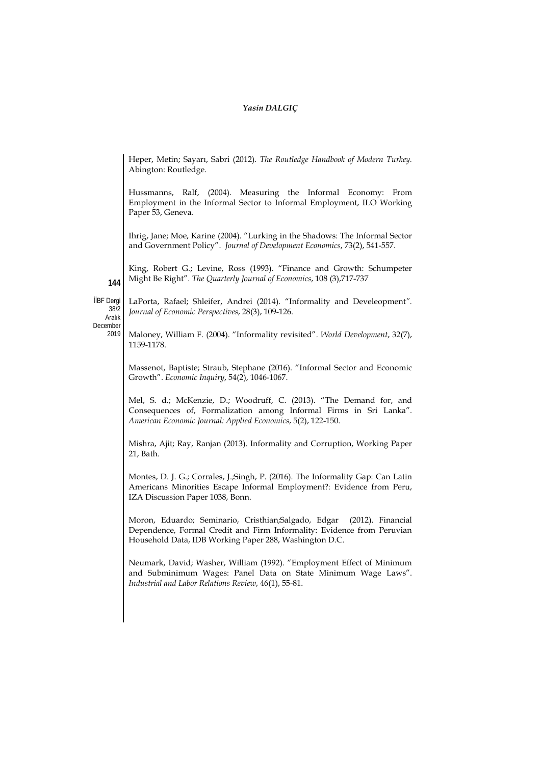Heper, Metin; Sayarı, Sabri (2012). *The Routledge Handbook of Modern Turkey.*  Abington: Routledge.

Hussmanns, Ralf, (2004). Measuring the Informal Economy: From Employment in the Informal Sector to Informal Employment, ILO Working Paper 53, Geneva.

Ihrig, Jane; Moe, Karine (2004). "Lurking in the Shadows: The Informal Sector and Government Policy". *Journal of Development Economics*, 73(2), 541-557.

King, Robert G.; [Levine,](https://econpapers.repec.org/RAS/ple61.htm) Ross (1993). "Finance and Growth: Schumpeter Might Be Right". *[The Quarterly Journal of Economics](https://econpapers.repec.org/article/oupqjecon/)*, 108 (3),717-737

İİBF Dergi  $38/2$ 

**144**

LaPorta, Rafael; Shleifer, Andrei (2014). "Informality and Develeopment*". Journal of Economic Perspectives*, 28(3), 109-126.

Aralık December 2019

Maloney, William F. (2004). "Informality revisited". *World Development*, 32(7), 1159-1178.

Massenot, Baptiste; Straub, Stephane (2016). "Informal Sector and Economic Growth". *Economic Inquiry*, 54(2), 1046-1067.

Mel, S. d.; McKenzie, D.; Woodruff, C. (2013). "The Demand for, and Consequences of, Formalization among Informal Firms in Sri Lanka". *American Economic Journal: Applied Economics*, 5(2), 122-150.

Mishra, Ajit; Ray, Ranjan (2013). Informality and Corruption, Working Paper 21, Bath.

Montes, D. J. G.; Corrales, J.;Singh, P. (2016). The Informality Gap: Can Latin Americans Minorities Escape Informal Employment?: Evidence from Peru, IZA Discussion Paper 1038, Bonn.

Moron, Eduardo; Seminario, Cristhian;Salgado, Edgar (2012). Financial Dependence, Formal Credit and Firm Informality: Evidence from Peruvian Household Data, IDB Working Paper 288, Washington D.C.

Neumark, David; Washer, William (1992). "Employment Effect of Minimum and Subminimum Wages: Panel Data on State Minimum Wage Laws". *Industrial and Labor Relations Review*, 46(1), 55-81.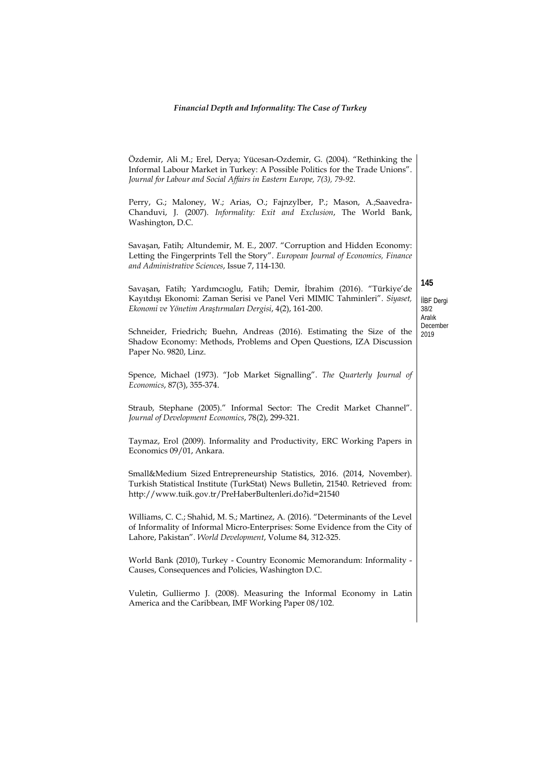# *Financial Depth and Informality: The Case of Turkey*

|                                                                                                                              | Özdemir, Ali M.; Erel, Derya; Yücesan-Ozdemir, G. (2004). "Rethinking the<br>Informal Labour Market in Turkey: A Possible Politics for the Trade Unions".<br>Journal for Labour and Social Affairs in Eastern Europe, 7(3), 79-92.<br>Perry, G.; Maloney, W.; Arias, O.; Fajnzylber, P.; Mason, A.;Saavedra-<br>Chanduvi, J. (2007). Informality: Exit and Exclusion, The World Bank,<br>Washington, D.C. |  |  |  |
|------------------------------------------------------------------------------------------------------------------------------|-----------------------------------------------------------------------------------------------------------------------------------------------------------------------------------------------------------------------------------------------------------------------------------------------------------------------------------------------------------------------------------------------------------|--|--|--|
|                                                                                                                              | Savaşan, Fatih; Altundemir, M. E., 2007. "Corruption and Hidden Economy:<br>Letting the Fingerprints Tell the Story". European Journal of Economics, Finance<br>and Administrative Sciences, Issue 7, 114-130.                                                                                                                                                                                            |  |  |  |
|                                                                                                                              | Savaşan, Fatih; Yardımcıoglu, Fatih; Demir, İbrahim (2016). "Türkiye'de<br>Kayıtdışı Ekonomi: Zaman Serisi ve Panel Veri MIMIC Tahminleri". Siyaset,<br>Ekonomi ve Yönetim Araştırmaları Dergisi, 4(2), 161-200.                                                                                                                                                                                          |  |  |  |
|                                                                                                                              | Schneider, Friedrich; Buehn, Andreas (2016). Estimating the Size of the<br>Shadow Economy: Methods, Problems and Open Questions, IZA Discussion<br>Paper No. 9820, Linz.                                                                                                                                                                                                                                  |  |  |  |
|                                                                                                                              | Spence, Michael (1973). "Job Market Signalling". The Quarterly Journal of<br>Economics, 87(3), 355-374.                                                                                                                                                                                                                                                                                                   |  |  |  |
|                                                                                                                              | Straub, Stephane (2005)." Informal Sector: The Credit Market Channel".<br>Journal of Development Economics, 78(2), 299-321.                                                                                                                                                                                                                                                                               |  |  |  |
|                                                                                                                              | Taymaz, Erol (2009). Informality and Productivity, ERC Working Papers in<br>Economics 09/01, Ankara.                                                                                                                                                                                                                                                                                                      |  |  |  |
|                                                                                                                              | Small&Medium Sized Entrepreneurship Statistics, 2016. (2014, November).<br>Turkish Statistical Institute (TurkStat) News Bulletin, 21540. Retrieved from:<br>http://www.tuik.gov.tr/PreHaberBultenleri.do?id=21540                                                                                                                                                                                        |  |  |  |
|                                                                                                                              | Williams, C. C.; Shahid, M. S.; Martinez, A. (2016). "Determinants of the Level<br>of Informality of Informal Micro-Enterprises: Some Evidence from the City of<br>Lahore, Pakistan". World Development, Volume 84, 312-325.                                                                                                                                                                              |  |  |  |
| World Bank (2010), Turkey - Country Economic Memorandum: Informality -<br>Causes, Consequences and Policies, Washington D.C. |                                                                                                                                                                                                                                                                                                                                                                                                           |  |  |  |
|                                                                                                                              | Vuletin, Gulliermo J. (2008). Measuring the Informal Economy in Latin<br>America and the Caribbean, IMF Working Paper 08/102.                                                                                                                                                                                                                                                                             |  |  |  |
|                                                                                                                              |                                                                                                                                                                                                                                                                                                                                                                                                           |  |  |  |